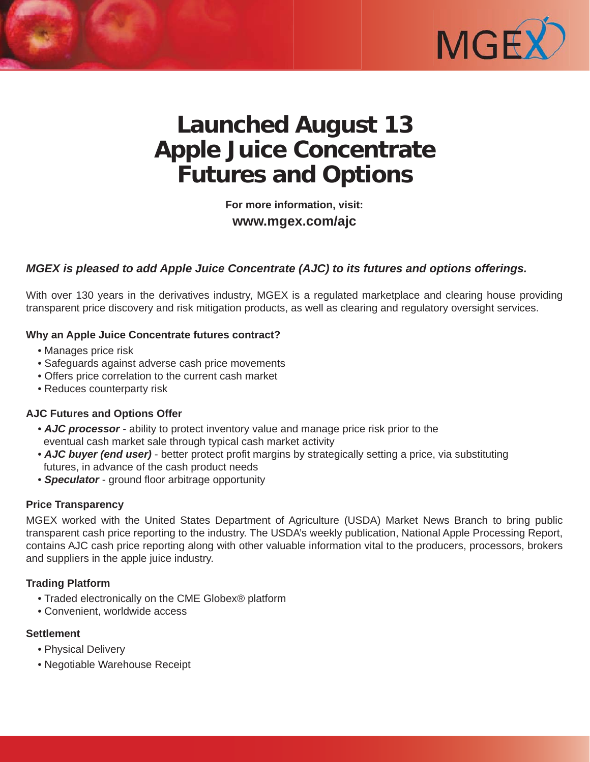

# **Launched August 13 Apple Juice Concentrate Futures and Options**

**For more information, visit: www.mgex.com/ajc** 

# *MGEX is pleased to add Apple Juice Concentrate (AJC) to its futures and options offerings.*

With over 130 years in the derivatives industry, MGEX is a regulated marketplace and clearing house providing transparent price discovery and risk mitigation products, as well as clearing and regulatory oversight services.

#### **Why an Apple Juice Concentrate futures contract?**

- Manages price risk
- Safeguards against adverse cash price movements
- Offers price correlation to the current cash market
- Reduces counterparty risk

## **AJC Futures and Options Offer**

- *AJC processor*  ability to protect inventory value and manage price risk prior to the eventual cash market sale through typical cash market activity
- AJC buyer (end user) better protect profit margins by strategically setting a price, via substituting futures, in advance of the cash product needs
- **Speculator** ground floor arbitrage opportunity

#### **Price Transparency**

MGEX worked with the United States Department of Agriculture (USDA) Market News Branch to bring public transparent cash price reporting to the industry. The USDA's weekly publication, National Apple Processing Report, contains AJC cash price reporting along with other valuable information vital to the producers, processors, brokers and suppliers in the apple juice industry.

## **Trading Platform**

- Traded electronically on the CME Globex® platform
- Convenient, worldwide access

#### **Settlement**

- Physical Delivery
- Negotiable Warehouse Receipt